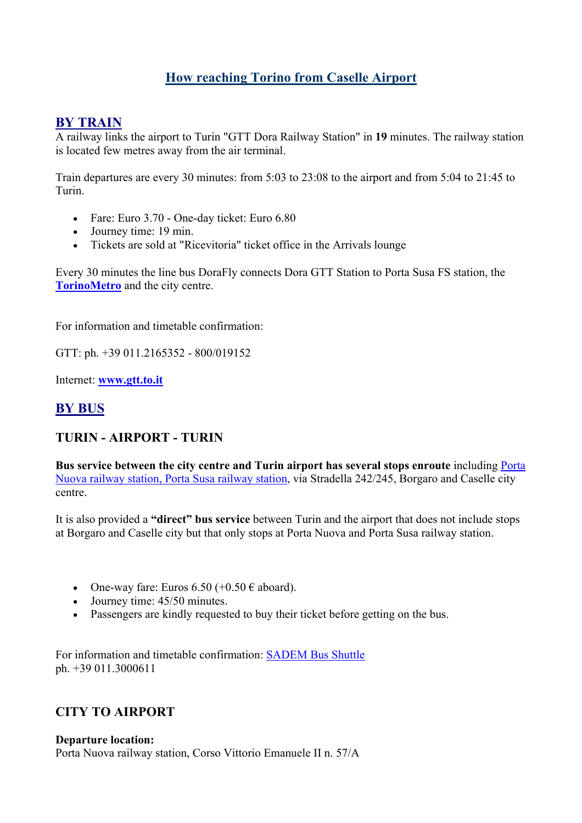# **How reaching Torino from Caselle Airport**

## **BY TRAIN**

A railway links the airport to Turin "GTT Dora Railway Station" in **19** minutes. The railway station is located few metres away from the air terminal.

Train departures are every 30 minutes: from 5:03 to 23:08 to the airport and from 5:04 to 21:45 to Turin.

- Fare: Euro 3.70 One-day ticket: Euro 6.80
- Journey time: 19 min.
- Tickets are sold at "Ricevitoria" ticket office in the Arrivals lounge

Every 30 minutes the line bus DoraFly connects Dora GTT Station to Porta Susa FS station, the **TorinoMetro** and the city centre.

For information and timetable confirmation:

GTT: ph. +39 011.2165352 - 800/019152

Internet: **www.gtt.to.it**

## **BY BUS**

## **TURIN - AIRPORT - TURIN**

**Bus service between the city centre and Turin airport has several stops enroute** including Porta Nuova railway station, Porta Susa railway station, via Stradella 242/245, Borgaro and Caselle city centre.

It is also provided a **"direct" bus service** between Turin and the airport that does not include stops at Borgaro and Caselle city but that only stops at Porta Nuova and Porta Susa railway station.

- One-way fare: Euros  $6.50$  (+0.50  $\epsilon$  aboard).
- Journey time:  $45/50$  minutes.
- Passengers are kindly requested to buy their ticket before getting on the bus.

For information and timetable confirmation: SADEM Bus Shuttle ph. +39 011.3000611

### **CITY TO AIRPORT**

#### **Departure location:**

Porta Nuova railway station, Corso Vittorio Emanuele II n. 57/A